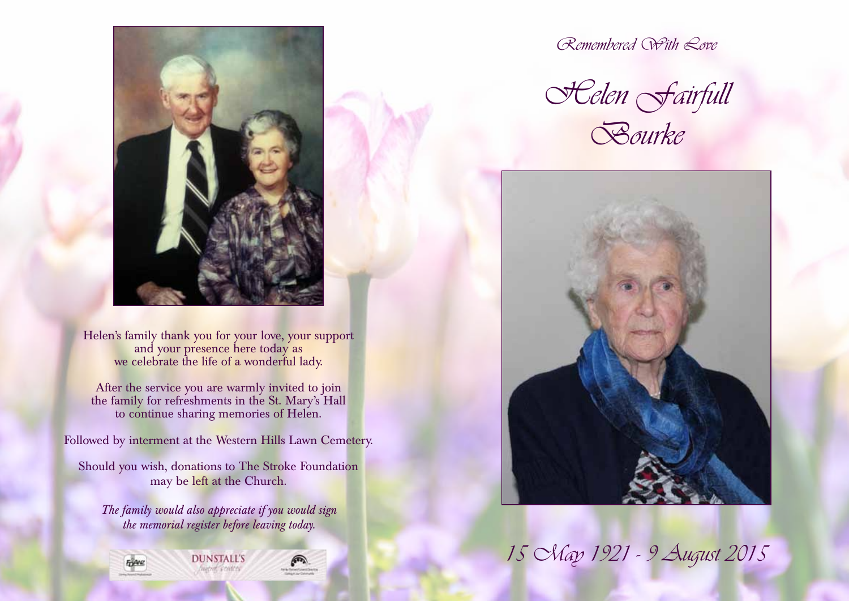

Helen's family thank you for your love, your support and your presence here today as we celebrate the life of a wonderful lady.

After the service you are warmly invited to join the family for refreshments in the St. Mary's Hall to continue sharing memories of Helen.

Followed by interment at the Western Hills Lawn Cemetery.

Should you wish, donations to The Stroke Foundation may be left at the Church.

*The family would also appreciate if you would sign the memorial register before leaving today.*



Remembered With Love

Helen Fairfull Bourke



15 May 1921 - 9 August 2015